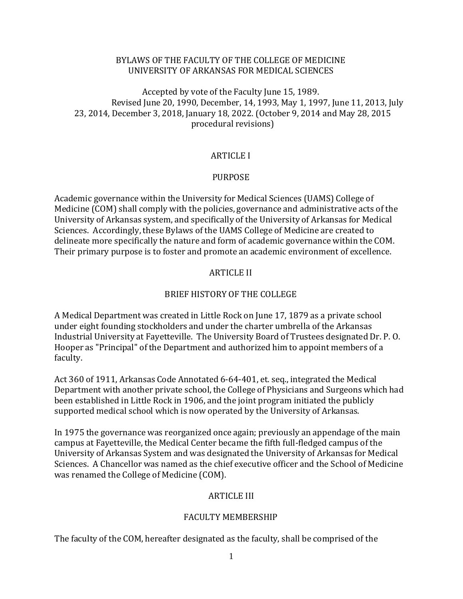## BYLAWS OF THE FACULTY OF THE COLLEGE OF MEDICINE UNIVERSITY OF ARKANSAS FOR MEDICAL SCIENCES

Accepted by vote of the Faculty June 15, 1989. Revised June 20, 1990, December, 14, 1993, May 1, 1997, June 11, 2013, July 23, 2014, December 3, 2018, January 18, 2022. (October 9, 2014 and May 28, 2015 procedural revisions)

## ARTICLE I

#### PURPOSE

Academic governance within the University for Medical Sciences (UAMS) College of Medicine (COM) shall comply with the policies, governance and administrative acts of the University of Arkansas system, and specifically of the University of Arkansas for Medical Sciences. Accordingly, these Bylaws of the UAMS College of Medicine are created to delineate more specifically the nature and form of academic governance within the COM. Their primary purpose is to foster and promote an academic environment of excellence.

#### ARTICLE II

#### BRIEF HISTORY OF THE COLLEGE

A Medical Department was created in Little Rock on June 17, 1879 as a private school under eight founding stockholders and under the charter umbrella of the Arkansas Industrial University at Fayetteville. The University Board of Trustees designated Dr. P. O. Hooper as "Principal" of the Department and authorized him to appoint members of a faculty.

Act 360 of 1911, Arkansas Code Annotated 6-64-401, et. seq., integrated the Medical Department with another private school, the College of Physicians and Surgeons which had been established in Little Rock in 1906, and the joint program initiated the publicly supported medical school which is now operated by the University of Arkansas.

In 1975 the governance was reorganized once again; previously an appendage of the main campus at Fayetteville, the Medical Center became the fifth full-fledged campus of the University of Arkansas System and was designated the University of Arkansas for Medical Sciences. A Chancellor was named as the chief executive officer and the School of Medicine was renamed the College of Medicine (COM).

#### ARTICLE III

#### FACULTY MEMBERSHIP

The faculty of the COM, hereafter designated as the faculty, shall be comprised of the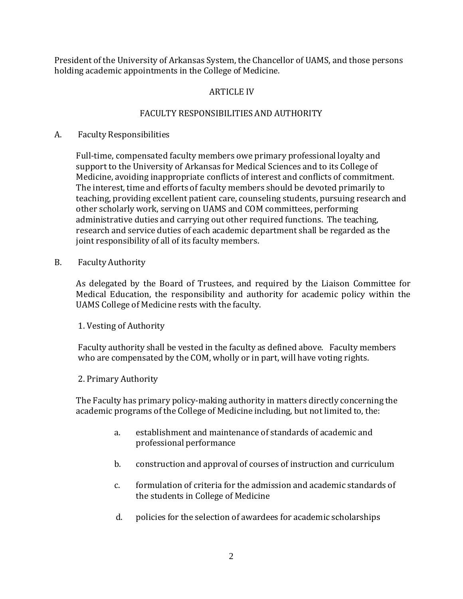President of the University of Arkansas System, the Chancellor of UAMS, and those persons holding academic appointments in the College of Medicine.

# ARTICLE IV

# FACULTY RESPONSIBILITIES AND AUTHORITY

# A. Faculty Responsibilities

Full-time, compensated faculty members owe primary professional loyalty and support to the University of Arkansas for Medical Sciences and to its College of Medicine, avoiding inappropriate conflicts of interest and conflicts of commitment. The interest, time and efforts of faculty members should be devoted primarily to teaching, providing excellent patient care, counseling students, pursuing research and other scholarly work, serving on UAMS and COM committees, performing administrative duties and carrying out other required functions. The teaching, research and service duties of each academic department shall be regarded as the joint responsibility of all of its faculty members.

B. Faculty Authority

As delegated by the Board of Trustees, and required by the Liaison Committee for Medical Education, the responsibility and authority for academic policy within the UAMS College of Medicine rests with the faculty.

# 1. Vesting of Authority

Faculty authority shall be vested in the faculty as defined above. Faculty members who are compensated by the COM, wholly or in part, will have voting rights.

## 2. Primary Authority

The Faculty has primary policy-making authority in matters directly concerning the academic programs of the College of Medicine including, but not limited to, the:

- a. establishment and maintenance of standards of academic and professional performance
- b. construction and approval of courses of instruction and curriculum
- c. formulation of criteria for the admission and academic standards of the students in College of Medicine
- d. policies for the selection of awardees for academic scholarships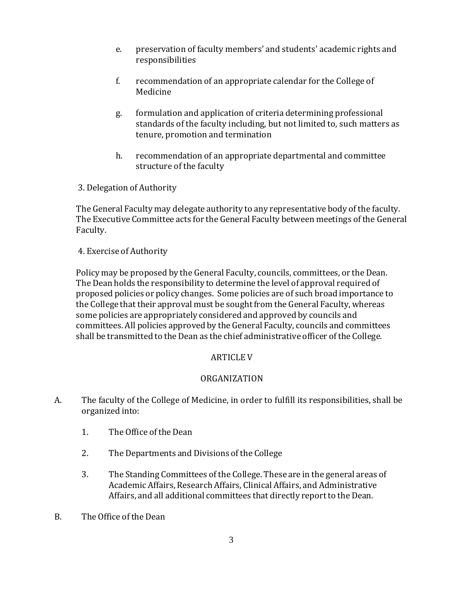- e. preservation of faculty members' and students' academic rights and responsibilities
- f. recommendation of an appropriate calendar for the College of Medicine
- g. formulation and application of criteria determining professional standards of the faculty including, but not limited to, such matters as tenure, promotion and termination
- h. recommendation of an appropriate departmental and committee structure of the faculty
- 3. Delegation of Authority

The General Faculty may delegate authority to any representative body of the faculty. The Executive Committee acts for the General Faculty between meetings of the General Faculty.

## 4. Exercise of Authority

Policy may be proposed by the General Faculty, councils, committees, or the Dean. The Dean holds the responsibility to determine the level of approval requiredof proposed policies or policy changes. Some policies are of such broad importance to the College that their approval must be sought from the General Faculty, whereas some policies are appropriately considered and approved by councils and committees. All policies approved by the General Faculty, councils and committees shall be transmitted to the Dean as the chief administrative officer of the College.

## ARTICLE V

## ORGANIZATION

- A. The faculty of the College of Medicine, in order to fulfill its responsibilities, shall be organized into:
	- 1. The Office of the Dean
	- 2. The Departments and Divisions of the College
	- 3. The Standing Committees of the College. These are in the general areas of Academic Affairs, Research Affairs, Clinical Affairs, and Administrative Affairs, and all additional committees that directly report to the Dean.
- B. The Office of the Dean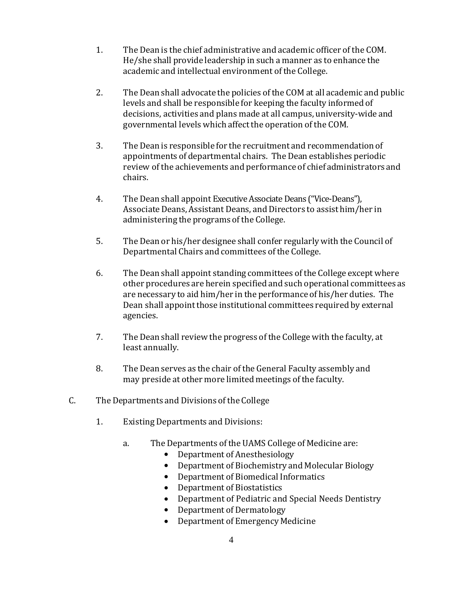- 1. The Dean is the chief administrative and academic officer of the COM. He/she shall provide leadership in such a manner as to enhance the academic and intellectual environment of the College.
- 2. The Dean shall advocate the policies of the COM at all academic and public levels and shall be responsible for keeping the faculty informed of decisions, activities and plans made at all campus, university-wide and governmental levels which affect the operation of the COM.
- 3. The Dean is responsible for the recruitment and recommendationof appointments of departmental chairs. The Dean establishes periodic review of the achievements and performance of chief administrators and chairs.
- 4. The Dean shall appoint Executive Associate Deans ("Vice-Deans"), Associate Deans, Assistant Deans, and Directors to assist him/her in administering the programs of the College.
- 5. The Dean or his/her designee shall confer regularly with the Council of Departmental Chairs and committees of the College.
- 6. The Dean shall appoint standing committees ofthe College except where other procedures are herein specified and such operational committees as are necessary to aid him/her in the performance of his/her duties. The Dean shall appoint those institutional committees required by external agencies.
- 7. The Dean shall review the progress of the College with the faculty, at least annually.
- 8. The Dean serves as the chair of the General Faculty assembly and may preside at other more limited meetings of the faculty.
- C. The Departments and Divisions of the College
	- 1. Existing Departments and Divisions:
		- a. The Departments of the UAMS College of Medicine are:
			- Department of Anesthesiology
			- Department of Biochemistry and Molecular Biology<br>• Department of Biomedical Informatics
			- Department of Biomedical Informatics<br>• Department of Biostatistics
			- Department of Biostatistics<br>• Department of Pediatric and
			- Department of Pediatric and Special Needs Dentistry
			- Department of Dermatology<br>• Department of Emergency M
			- Department of Emergency Medicine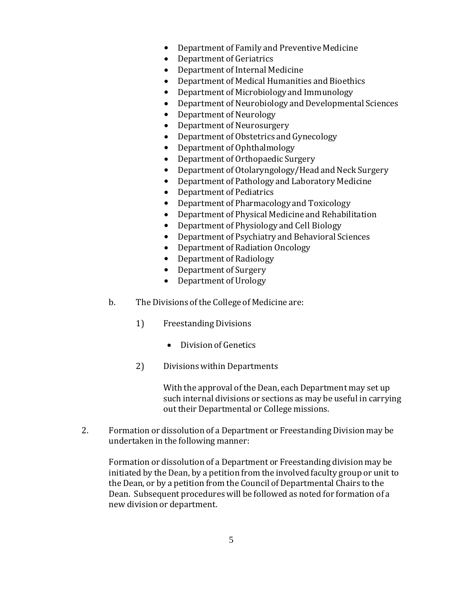- Department of Family and Preventive Medicine
- Department of Geriatrics<br>• Department of Internal M
- Department of Internal Medicine
- Department of Medical Humanities and Bioethics<br>• Department of Microbiology and Immunology
- Department of Microbiology and Immunology<br>• Department of Neurobiology and Development
- Department of Neurobiology and Developmental Sciences
- Department of Neurology
- Department of Neurosurgery
- Department of Obstetrics and Gynecology
- Department of Ophthalmology
- Department of Orthopaedic Surgery
- Department of Otolaryngology/Head and Neck Surgery
- Department of Pathology and Laboratory Medicine
- Department of Pediatrics<br>• Department of Pharmacol
- Department of Pharmacology and Toxicology
- Department of Physical Medicine and Rehabilitation
- Department of Physiology and Cell Biology<br>• Department of Psychiatry and Behavioral Sq
- Department of Psychiatry and Behavioral Sciences
- Department of Radiation Oncology
- Department of Radiology
- Department of Surgery
- Department of Urology
- b. The Divisions of the College of Medicine are:
	- 1) Freestanding Divisions
		- Division of Genetics
	- 2) Divisions within Departments

With the approval of the Dean, each Department may set up such internal divisions or sections as may be useful in carrying out their Departmental or College missions.

2. Formation or dissolution of a Department or Freestanding Division may be undertaken in the following manner:

Formation or dissolution of a Department or Freestanding division may be initiated by the Dean, by a petition from the involved faculty group or unit to the Dean, or by a petition from the Council of Departmental Chairs to the Dean. Subsequent procedures will be followed as noted for formation of a new division or department.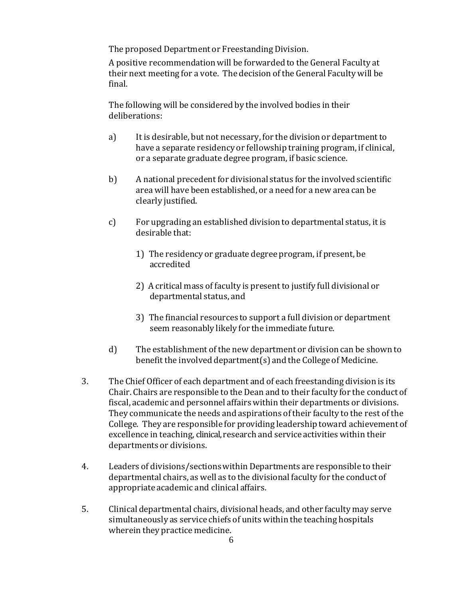The proposed Department or Freestanding Division.

A positive recommendationwill be forwarded to the General Faculty at their next meeting for a vote. The decision of theGeneral Faculty will be final.

The following will be considered by the involved bodies in their deliberations:

- a) It is desirable, but not necessary, for the division or department to have a separate residency or fellowship training program, if clinical, or a separate graduate degree program, if basic science.
- b) A national precedent for divisional status for the involved scientific area will have been established, or a need for a new area can be clearly justified.
- c) For upgrading an established division to departmental status, it is desirable that:
	- 1) The residency or graduate degree program, if present, be accredited
	- 2) A critical mass of faculty is present to justify full divisional or departmental status, and
	- 3) The financial resources to support a full division or department seem reasonably likely for the immediate future.
- d) The establishment of the new department or division can be shown to benefit the involved department(s) and the College of Medicine.
- 3. The Chief Officer of each department and of each freestanding division is its Chair. Chairs are responsible to the Dean and to their faculty for the conduct of fiscal, academic and personnel affairs within their departments or divisions. They communicate the needs and aspirations of their faculty to the rest of the College. They are responsible for providing leadership toward achievement of excellence in teaching, clinical, research and service activities within their departments or divisions.
- 4. Leaders of divisions/sectionswithin Departments are responsible to their departmental chairs, as well as to the divisional faculty for the conduct of appropriate academic and clinical affairs.
- 5. Clinical departmental chairs, divisional heads, and other faculty may serve simultaneously as service chiefs of units within the teaching hospitals wherein they practice medicine.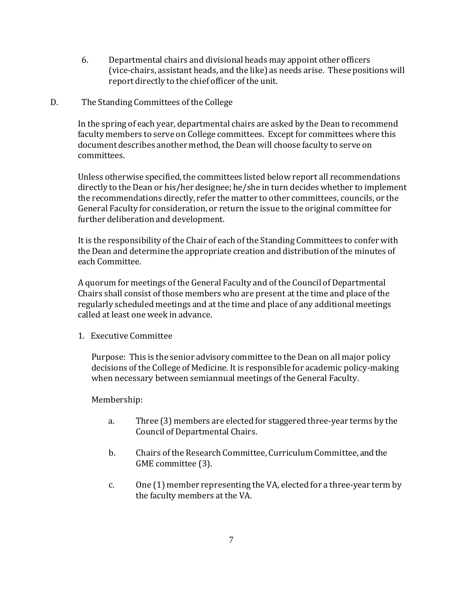6. Departmental chairs and divisional heads may appoint other officers (vice-chairs, assistant heads, and the like) as needs arise. These positions will report directly to the chief officer of the unit.

#### D. The Standing Committees of the College

In the spring of each year, departmental chairs are asked by the Dean to recommend faculty members to serve on College committees. Except for committees where this document describes another method, the Dean will choose faculty to serve on committees.

Unless otherwise specified, the committees listed below report all recommendations directly to the Dean or his/her designee; he/she in turn decides whether to implement the recommendations directly, refer the matter to other committees, councils, or the General Faculty for consideration, or return the issue to the original committee for further deliberation and development.

It is the responsibility of the Chair of each of the Standing Committees to confer with the Dean and determine the appropriate creation and distribution of the minutes of each Committee.

A quorum for meetings of the General Faculty and of the Council of Departmental Chairs shall consist of those members who are present at the time and place of the regularly scheduledmeetings and at the time and place of any additional meetings called at least one week in advance.

1. Executive Committee

Purpose: This is the senior advisory committee to the Dean on all major policy decisions of the College of Medicine. It is responsible for academic policy-making when necessary between semiannual meetings of the General Faculty.

Membership:

- a. Three (3) members are elected for staggered three-year terms by the Council of Departmental Chairs.
- b. Chairs of the Research Committee, Curriculum Committee, and the GME committee (3).
- c. One (1) member representing the VA, elected for a three-year term by the faculty members at the VA.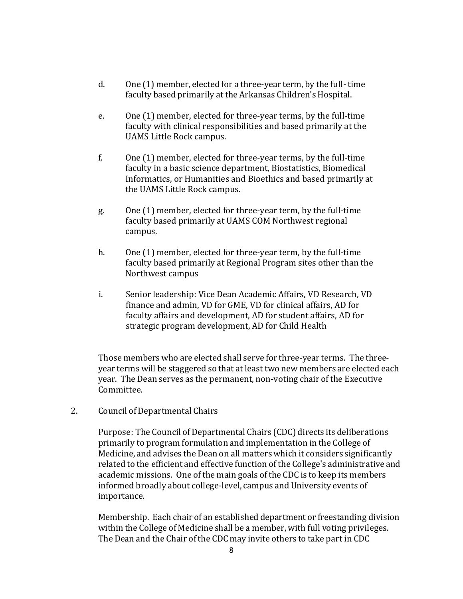- d. One (1) member, elected for a three-year term, by the full- time faculty based primarily at the Arkansas Children's Hospital.
- e. One (1) member, elected for three-year terms, by the full-time faculty with clinical responsibilities and based primarily at the UAMS Little Rock campus.
- f. One (1) member, elected for three-year terms, by the full-time faculty in a basic science department, Biostatistics, Biomedical Informatics, or Humanities and Bioethics and based primarily at the UAMS Little Rock campus.
- g. One (1) member, elected for three-year term, by the full-time faculty based primarily at UAMS COM Northwest regional campus.
- h. One (1) member, elected for three-year term, by the full-time faculty based primarily at Regional Program sites other than the Northwest campus
- i. Senior leadership: Vice Dean Academic Affairs, VD Research, VD finance and admin, VD for GME, VD for clinical affairs, AD for faculty affairs and development, AD for student affairs, AD for strategic program development, AD for Child Health

Those members who are elected shall serve for three-year terms. The threeyear terms will be staggered so that at least two new members are elected each year. The Dean serves as the permanent, non-voting chair of the Executive Committee.

2. Council of Departmental Chairs

Purpose: The Council of Departmental Chairs (CDC) directs its deliberations primarily to program formulation and implementation in the College of Medicine, and advises the Dean on all matters which it considers significantly related to the efficient and effective function of the College's administrative and academic missions. One of the main goals of the CDC is to keep its members informed broadly about college-level, campus and University events of importance.

Membership. Each chair of an established department or freestanding division within the College of Medicine shall be a member, with full voting privileges. The Dean and the Chair of the CDC may invite others to take part in CDC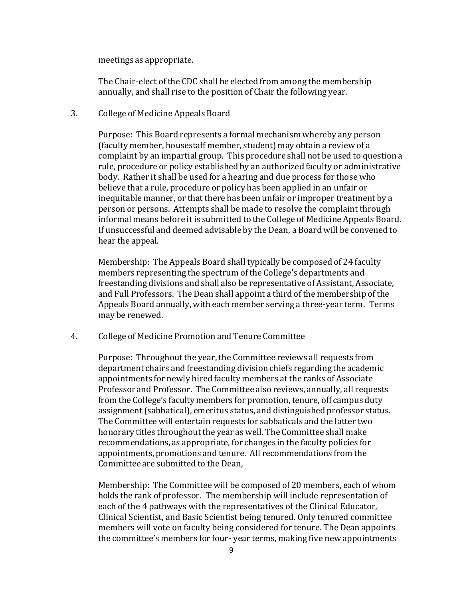meetings as appropriate.

The Chair-elect of the CDC shall be elected from among the membership annually, and shall rise to the position of Chair the following year.

3. College of Medicine Appeals Board

Purpose: This Board represents a formal mechanism whereby any person (faculty member, housestaff member, student) may obtain a review of a complaint by an impartial group. This procedure shall not be used to question a rule, procedure or policy established by an authorized faculty or administrative body. Rather it shall be used for a hearing and due process for those who believe that a rule, procedure or policy has been applied in an unfair or inequitable manner, or that there has been unfair or improper treatment by a person or persons. Attempts shall be made to resolve the complaint through informal means before it is submitted to the College of Medicine Appeals Board. If unsuccessful and deemed advisable by the Dean, a Board will be convened to hear the appeal.

Membership: The Appeals Board shall typically be composedof 24 faculty members representing the spectrum of the College's departments and freestanding divisions and shall also be representative of Assistant, Associate, and Full Professors. The Dean shall appoint a third of the membership of the Appeals Board annually, with each member serving a three-year term. Terms may be renewed.

4. College of Medicine Promotion and Tenure Committee

Purpose: Throughout the year, the Committee reviews all requests from department chairs and freestanding division chiefs regarding the academic appointments for newly hired faculty members at the ranks of Associate Professor and Professor. The Committee also reviews, annually, all requests from the College's faculty members for promotion, tenure, off campus duty assignment(sabbatical), emeritus status, and distinguished professor status. The Committee will entertain requests for sabbaticals and the latter two honorary titles throughout the year as well. The Committee shall make recommendations, as appropriate, for changes in the faculty policies for appointments, promotions and tenure. All recommendations from the Committee are submitted to the Dean,

Membership: The Committee will be composed of 20 members, each of whom holds the rank of professor. The membership will include representation of each of the 4 pathways with the representatives of the Clinical Educator, Clinical Scientist, and Basic Scientist being tenured. Only tenured committee members will vote on faculty being considered for tenure. The Dean appoints the committee's members for four- year terms, making five new appointments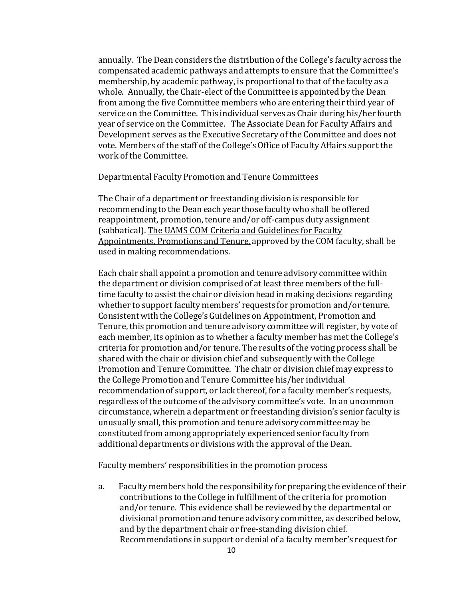annually. The Dean considers the distribution of the College's faculty across the compensated academic pathways and attempts to ensure that the Committee's membership, by academic pathway, is proportional to that of the faculty as a whole. Annually, the Chair-elect of the Committee is appointed by the Dean from among the five Committee members who are entering their third year of service on the Committee. This individual serves as Chair during his/her fourth year of service on the Committee. The Associate Dean for Faculty Affairs and Development serves as the Executive Secretary of the Committee and does not vote. Members of the staff of the College'sOffice of Faculty Affairs support the work of the Committee.

Departmental Faculty Promotion and Tenure Committees

The Chair of a department or freestanding division is responsible for recommending to the Dean each year those faculty who shall be offered reappointment, promotion, tenure and/or off-campus duty assignment (sabbatical). The UAMS COM Criteria and Guidelines for Faculty Appointments, Promotions and Tenure, approved by the COM faculty, shall be used in making recommendations.

Each chair shall appoint a promotion and tenure advisory committee within the department or division comprised of at least three members of the fulltime faculty to assist the chair or division head in making decisions regarding whether to support faculty members' requests for promotion and/or tenure. Consistent with the College's Guidelines on Appointment, Promotion and Tenure, this promotion and tenure advisory committee will register, by vote of each member, its opinion as to whether a faculty member has met the College's criteria for promotion and/or tenure. The results of the voting process shall be shared with the chair or division chief and subsequentlywith the College Promotion and Tenure Committee. The chair or division chief may express to the College Promotion and Tenure Committee his/her individual recommendationof support, or lack thereof, for a faculty member's requests, regardless of the outcome of the advisory committee's vote. In an uncommon circumstance, wherein a department or freestanding division's senior faculty is unusually small, this promotion and tenure advisory committee may be constituted from among appropriately experienced senior faculty from additional departments or divisions with the approval of the Dean.

Faculty members' responsibilities in the promotion process

a. Faculty members hold the responsibility for preparing the evidence of their contributions to the College in fulfillment of the criteria for promotion and/or tenure. This evidence shall be reviewed by the departmental or divisional promotion and tenure advisory committee, as described below, and by the department chair or free-standing division chief. Recommendations in support or denial of a faculty member's request for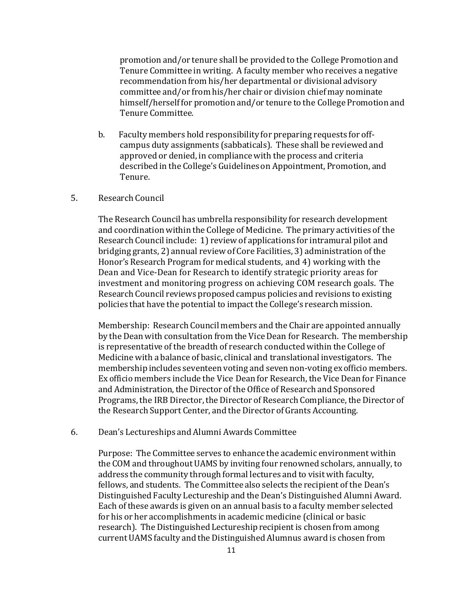promotion and/or tenure shall be provided to the College Promotion and Tenure Committee in writing. A faculty member who receives a negative recommendation from his/her departmental or divisional advisory committee and/or from his/her chair or division chief may nominate himself/herself for promotion and/or tenure to the College Promotion and Tenure Committee.

b. Faculty members hold responsibility for preparing requests for offcampus duty assignments (sabbaticals). These shall be reviewed and approved or denied, in compliance with the process and criteria described in the College's Guidelines on Appointment, Promotion, and Tenure.

#### 5. Research Council

The Research Council has umbrella responsibility for research development and coordination within the College of Medicine. The primary activities of the Research Council include: 1) review of applications for intramural pilot and bridging grants, 2) annual review of Core Facilities, 3) administration of the Honor's Research Program for medical students, and 4) working with the Dean and Vice-Dean for Research to identify strategic priority areas for investment and monitoring progress on achieving COM research goals. The Research Council reviews proposed campus policies and revisions to existing policies that have the potential to impact the College's researchmission.

Membership: Research Council members and the Chair are appointed annually by the Dean with consultation from the Vice Dean for Research. The membership is representative of the breadth of research conducted within the College of Medicine with a balance of basic, clinical and translational investigators. The membership includes seventeen voting and seven non-voting ex officio members. Ex officio members include the Vice Dean for Research, the Vice Dean for Finance and Administration, the Director of the Office of Research and Sponsored Programs, the IRB Director, the Director of Research Compliance, the Director of the Research Support Center, and the Director of Grants Accounting.

#### 6. Dean's Lectureships and Alumni Awards Committee

Purpose: The Committee serves to enhance the academic environment within the COM and throughout UAMS by inviting four renowned scholars, annually, to address the community through formal lectures and to visit with faculty, fellows, and students. The Committee also selects the recipient of the Dean's Distinguished Faculty Lectureship and the Dean's Distinguished Alumni Award. Each of these awards is given on an annual basis to a faculty member selected for his or her accomplishments in academic medicine (clinical or basic research). The Distinguished Lectureship recipient is chosen from among current UAMS faculty and the Distinguished Alumnus award is chosen from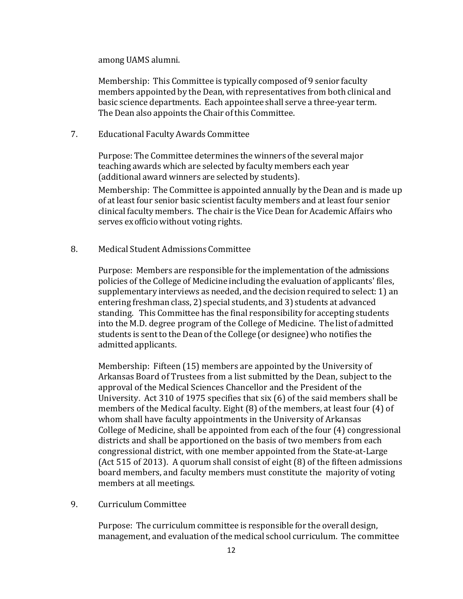among UAMS alumni.

Membership: This Committee is typically composed of 9 senior faculty members appointed by the Dean, with representatives from both clinical and basic science departments. Each appointee shall serve a three-year term. The Dean also appoints the Chair of this Committee.

7. Educational Faculty Awards Committee

Purpose: The Committee determines the winners of the several major teaching awards which are selected by faculty members each year (additional award winners are selected by students).

Membership: The Committee is appointed annually by the Dean and is made up of at least four senior basic scientist faculty members and at least four senior clinical faculty members. The chair is the Vice Dean for Academic Affairs who serves exofficio without voting rights.

8. Medical Student Admissions Committee

Purpose: Members are responsible for the implementation of the admissions policies of the College of Medicine including the evaluation of applicants' files, supplementary interviews as needed, and the decision required to select: 1) an entering freshman class, 2) special students, and 3) students at advanced standing. This Committee has the final responsibility for accepting students into the M.D. degree program of the College of Medicine. The list of admitted students is sent to the Dean of the College (or designee) who notifies the admitted applicants.

Membership: Fifteen (15) members are appointed by the University of Arkansas Board of Trustees from a list submitted by the Dean, subject to the approval of the Medical Sciences Chancellor and the President of the University. Act 310 of 1975 specifies that six (6) of the said members shall be members of the Medical faculty. Eight (8) of the members, at least four (4) of whom shall have faculty appointments in the University of Arkansas College of Medicine, shall be appointed from each of the four (4) congressional districts and shall be apportioned on the basis of two members from each congressional district, with one member appointed from the State-at-Large (Act 515 of 2013). A quorum shall consist of eight (8) of the fifteen admissions board members, and faculty members must constitute the majority of voting members at all meetings.

9. Curriculum Committee

Purpose: The curriculum committee is responsible for the overall design, management, and evaluation of the medical school curriculum. The committee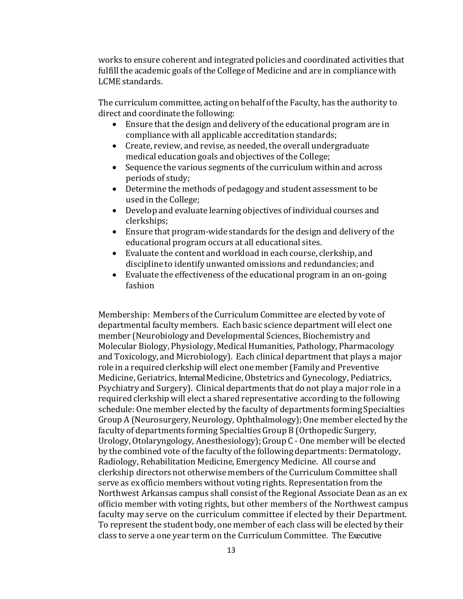works to ensure coherent and integrated policies and coordinated activities that fulfill the academic goals of the College of Medicine and are in compliance with LCME standards.

The curriculum committee, acting on behalf of the Faculty, has the authority to direct and coordinate the following:

- Ensure that the design and delivery of the educational program are in compliance with all applicable accreditation standards;
- $\bullet$  Create, review, and revise, as needed, the overall undergraduate medical education goals and objectives of the College;
- Sequence the various segments of the curriculum within and across periods of study;
- Determine the methods of pedagogy and student assessment to be used in the College;
- Develop and evaluate learning objectives of individual courses and clerkships;
- Ensure that program-wide standards for the design and delivery of the educational program occurs at all educational sites.
- Evaluate the content and workload in each course, clerkship, and discipline to identify unwanted omissions and redundancies; and
- Evaluate the effectiveness of the educational program in an on-going fashion

Membership: Members of the Curriculum Committee are elected by vote of departmental faculty members. Each basic science department will elect one member (Neurobiology and Developmental Sciences, Biochemistry and Molecular Biology, Physiology, Medical Humanities, Pathology, Pharmacology and Toxicology, and Microbiology). Each clinical department that plays a major role in a required clerkship will elect one member (Family and Preventive Medicine, Geriatrics, Internal Medicine, Obstetrics and Gynecology, Pediatrics, Psychiatry and Surgery). Clinical departments that do not play a major role in a required clerkship will elect a shared representative according to the following schedule: One member elected by the faculty of departments forming Specialties Group A (Neurosurgery, Neurology, Ophthalmology); One member elected by the faculty of departments forming Specialties Group B (Orthopedic Surgery, Urology, Otolaryngology, Anesthesiology);Group C - One member will be elected by the combined vote of the faculty of the following departments: Dermatology, Radiology, Rehabilitation Medicine, Emergency Medicine. All course and clerkship directors not otherwise members of the Curriculum Committee shall serve as exofficio members without voting rights. Representation from the Northwest Arkansas campus shall consist of the Regional Associate Dean as an ex officio member with voting rights, but other members of the Northwest campus faculty may serve on the curriculum committee if elected by their Department. To represent the student body, one member of each class will be elected by their class to serve a one year term on the Curriculum Committee. The Executive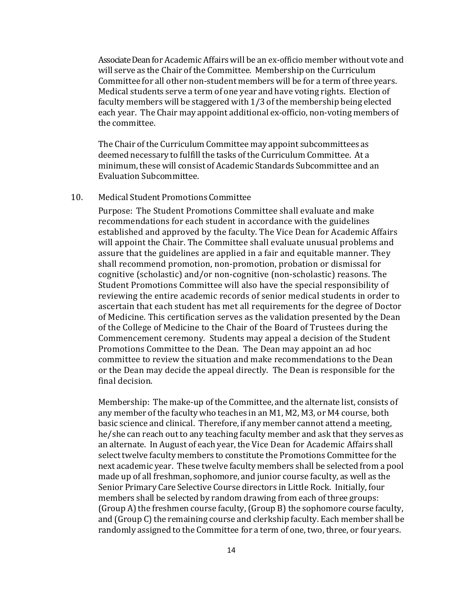Associate Deanfor Academic Affairs will be an ex-officio member without vote and will serve as the Chair of the Committee. Membership on the Curriculum Committee for all other non-student members will be for a term of three years. Medical students serve a term of one year and have voting rights. Election of faculty members will be staggered with 1/3 of the membership being elected each year. The Chair may appoint additional ex-officio, non-voting members of the committee.

The Chair of the Curriculum Committee may appoint subcommittees as deemed necessary to fulfill the tasks of the Curriculum Committee. At a minimum, these will consist of Academic Standards Subcommittee and an Evaluation Subcommittee.

#### 10. Medical Student Promotions Committee

Purpose: The Student Promotions Committee shall evaluate and make recommendations for each student in accordance with the guidelines established and approved by the faculty. The Vice Dean for Academic Affairs will appoint the Chair. The Committee shall evaluate unusual problems and assure that the guidelines are applied in a fair and equitable manner. They shall recommend promotion, non-promotion, probation or dismissal for cognitive (scholastic) and/or non-cognitive (non-scholastic) reasons. The Student Promotions Committee will also have the special responsibility of reviewing the entire academic records of senior medical students in order to ascertain that each student has met all requirements for the degree of Doctor of Medicine. This certification serves as the validation presented by the Dean of the College of Medicine to the Chair of the Board of Trustees during the Commencement ceremony. Students may appeal a decision of the Student Promotions Committee to the Dean. The Dean may appoint an ad hoc committee to review the situation and make recommendations to the Dean or the Dean may decide the appeal directly. The Dean is responsible for the final decision.

Membership: The make-up of the Committee, and the alternate list, consists of any member of the faculty who teaches in an M1, M2, M3, or M4 course, both basic science and clinical. Therefore, if any member cannot attend a meeting, he/she can reach outto any teaching faculty member and ask that they serves as an alternate. In August of each year, the Vice Dean for Academic Affairs shall select twelve faculty members to constitute the Promotions Committee for the next academic year. These twelve faculty members shall be selected from a pool made up of all freshman, sophomore, and junior course faculty, as well as the Senior Primary Care Selective Course directors in Little Rock. Initially, four members shall be selected by random drawing from each of three groups:  $(Group A)$  the freshmen course faculty,  $(Group B)$  the sophomore course faculty, and (Group C) the remaining course and clerkship faculty. Each member shall be randomly assigned to the Committee for a term of one, two, three, or four years.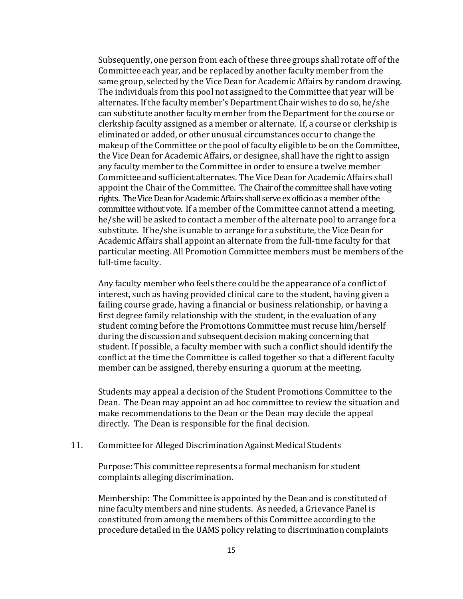Subsequently, one person from each of these three groups shall rotate off of the Committee each year, and be replaced by another faculty member from the same group, selected by the Vice Dean for Academic Affairs by random drawing. The individuals from this pool not assigned to the Committee that year will be alternates. If the faculty member's Department Chair wishes to do so, he/she can substitute another faculty member from the Department for the course or clerkship faculty assigned as a member or alternate. If, a course or clerkship is eliminated or added, or other unusual circumstances occur to change the makeup of the Committee or the pool of faculty eligible to be on the Committee, the Vice Dean for Academic Affairs, or designee, shall have the right to assign any faculty member to the Committee in order to ensure a twelve member Committee and sufficient alternates. The ViceDean for Academic Affairs shall appoint the Chair of the Committee. The Chair of the committee shall have voting rights. The Vice Dean for Academic Affairs shall serve ex officio as a member of the committee without vote. If a member of the Committee cannot attend a meeting, he/she will be asked to contact a member of the alternate pool to arrange for a substitute. If he/she is unable to arrange for a substitute, the ViceDean for Academic Affairs shall appoint an alternate from the full-time faculty for that particular meeting. All Promotion Committee members must be members of the full-time faculty.

Any faculty member who feels there could be the appearance of a conflict of interest, such as having provided clinical care to the student, having given a failing course grade, having a financial or business relationship, or having a first degree family relationship with the student, in the evaluation of any student coming before the Promotions Committee must recuse him/herself during the discussion and subsequent decision making concerning that student. If possible, a faculty member with such a conflict should identify the conflict at the time the Committee is called together so that a different faculty member can be assigned, thereby ensuring a quorum at the meeting.

Students may appeal a decision of the Student Promotions Committee to the Dean. The Dean may appoint an ad hoc committee to review the situation and make recommendations to the Dean or the Dean may decide the appeal directly. The Dean is responsible for the final decision.

#### 11. Committee for Alleged Discrimination Against Medical Students

Purpose: This committee represents a formal mechanism for student complaints alleging discrimination.

Membership: The Committee is appointed by the Dean and is constituted of nine faculty members and nine students. As needed, a Grievance Panel is constituted from among the members of this Committee according to the procedure detailed in the UAMS policy relating to discrimination complaints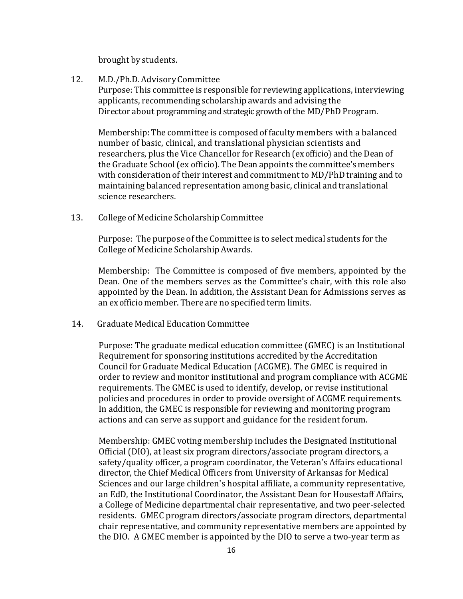brought by students.

12. M.D./Ph.D. Advisory Committee

Purpose: This committee is responsible for reviewing applications, interviewing applicants, recommending scholarship awards and advising the Director about programming and strategic growth of the MD/PhD Program.

Membership: The committee is composed of faculty members with a balanced number of basic, clinical, and translational physician scientists and researchers, plus the Vice Chancellor for Research (exofficio) and the Dean of the Graduate School(ex officio). The Dean appoints the committee's members with consideration of their interest and commitment to MD/PhD training and to maintaining balanced representation among basic, clinical and translational science researchers.

13. College of Medicine Scholarship Committee

Purpose: The purpose of the Committee is to select medical students for the College of Medicine Scholarship Awards.

Membership: The Committee is composed of five members, appointed by the Dean. One of the members serves as the Committee's chair, with this role also appointed by the Dean. In addition, the Assistant Dean for Admissions serves as an exofficio member. There are no specified term limits.

14. Graduate Medical Education Committee

Purpose: The graduate medical education committee (GMEC) is an Institutional Requirement for sponsoring institutions accredited by the Accreditation Council for Graduate Medical Education (ACGME). The GMEC is required in order to review and monitor institutional and program compliance with ACGME requirements. The GMEC is used to identify, develop, or revise institutional policies and procedures in order to provide oversight of ACGME requirements. In addition, the GMEC is responsible for reviewing and monitoring program actions and can serve as support and guidance for the resident forum.

Membership: GMEC voting membership includes the Designated Institutional Official (DIO), at least six program directors/associate program directors, a safety/quality officer, a program coordinator, the Veteran's Affairs educational director, the Chief Medical Officers from University of Arkansas for Medical Sciences and our large children's hospital affiliate, a community representative, an EdD, the Institutional Coordinator, the Assistant Dean for Housestaff Affairs, a College of Medicine departmental chair representative, and two peer-selected residents. GMEC program directors/associate program directors, departmental chair representative, and community representative members are appointed by the DIO. A GMEC member is appointed by the DIO to serve a two-year term as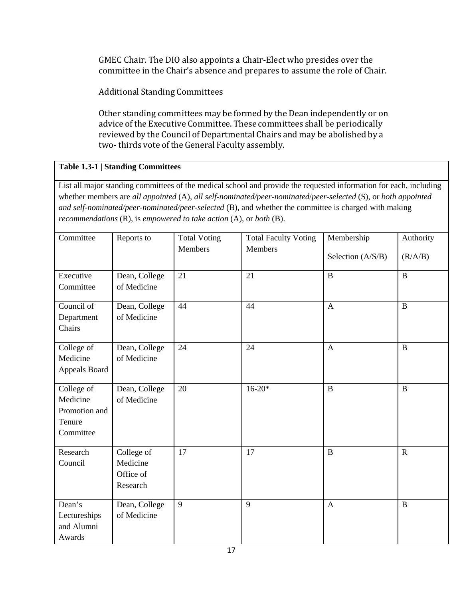GMEC Chair. The DIO also appoints a Chair-Elect who presides over the committee in the Chair's absence and prepares to assume the role of Chair.

Additional Standing Committees

Other standing committees may be formed by the Dean independently or on advice of the Executive Committee. These committees shall be periodically reviewed by the Council of Departmental Chairs and may be abolished by a two- thirds vote of the General Faculty assembly.

# **Table 1.3-1 | Standing Committees**

List all major standing committees of the medical school and provide the requested information for each, including whether members are *all appointed* (A), *all self-nominated/peer-nominated*/*peer*-*selected* (S), or *both appointed and self-nominated/peer-nominated/peer-selected* (B), and whether the committee is charged with making *recommendations* (R), is *empowered to take action* (A), or *both* (B).

| Committee                                                                   | Reports to                                      | <b>Total Voting</b> | <b>Total Faculty Voting</b> | Membership        | Authority      |
|-----------------------------------------------------------------------------|-------------------------------------------------|---------------------|-----------------------------|-------------------|----------------|
|                                                                             |                                                 | <b>Members</b>      | <b>Members</b>              | Selection (A/S/B) | (R/A/B)        |
| Executive<br>Committee                                                      | Dean, College<br>of Medicine                    | 21                  | 21                          | $\overline{B}$    | $\, {\bf B}$   |
| Council of<br>Department<br>Chairs                                          | Dean, College<br>of Medicine                    | 44                  | 44                          | $\mathbf{A}$      | $\, {\bf B}$   |
| College of<br>Medicine<br>Appeals Board                                     | Dean, College<br>of Medicine                    | 24                  | 24                          | $\mathbf{A}$      | $\, {\bf B}$   |
| College $\overline{of}$<br>Medicine<br>Promotion and<br>Tenure<br>Committee | Dean, College<br>of Medicine                    | 20                  | $16 - 20*$                  | $\overline{B}$    | $\overline{B}$ |
| Research<br>Council                                                         | College of<br>Medicine<br>Office of<br>Research | 17                  | 17                          | $\overline{B}$    | $\mathbf R$    |
| Dean's<br>Lectureships<br>and Alumni<br>Awards                              | Dean, College<br>of Medicine                    | 9                   | 9                           | $\mathbf{A}$      | $\, {\bf B}$   |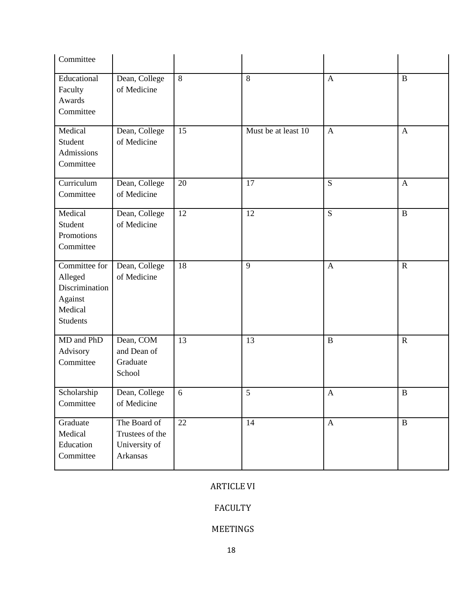| Committee                                                                           |                                                              |    |                     |                           |              |
|-------------------------------------------------------------------------------------|--------------------------------------------------------------|----|---------------------|---------------------------|--------------|
| Educational<br>Faculty<br>Awards<br>Committee                                       | Dean, College<br>of Medicine                                 | 8  | 8                   | $\mathbf{A}$              | $\bf{B}$     |
| Medical<br>Student<br>Admissions<br>Committee                                       | Dean, College<br>of Medicine                                 | 15 | Must be at least 10 | $\mathbf{A}$              | $\mathbf{A}$ |
| $\overline{\text{Curriculum}}$<br>Committee                                         | Dean, College<br>of Medicine                                 | 20 | 17                  | S                         | $\mathbf{A}$ |
| Medical<br>Student<br>Promotions<br>Committee                                       | Dean, College<br>of Medicine                                 | 12 | 12                  | S                         | $\bf{B}$     |
| Committee for<br>Alleged<br>Discrimination<br>Against<br>Medical<br><b>Students</b> | Dean, College<br>of Medicine                                 | 18 | 9                   | $\mathbf{A}$              | $\mathbf R$  |
| MD and PhD<br>Advisory<br>Committee                                                 | Dean, COM<br>and Dean of<br>Graduate<br>School               | 13 | 13                  | $\bf{B}$                  | $\mathbf R$  |
| Scholarship<br>Committee                                                            | Dean, College<br>of Medicine                                 | 6  | 5                   | $\boldsymbol{\mathsf{A}}$ | $\, {\bf B}$ |
| Graduate<br>Medical<br>Education<br>Committee                                       | The Board of<br>Trustees of the<br>University of<br>Arkansas | 22 | 14                  | $\mathbf{A}$              | $\, {\bf B}$ |

# ARTICLE VI

## FACULTY

# MEETINGS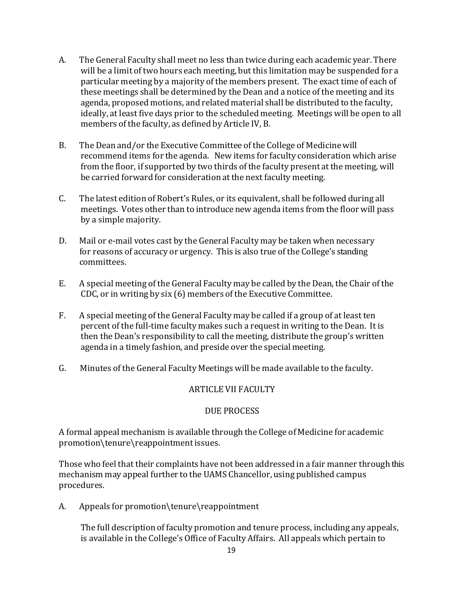- A. The General Faculty shall meet no less than twice during each academic year. There will be a limit of two hours each meeting, but this limitation may be suspended for a particular meeting by a majority of the members present. The exact time of each of these meetings shall be determined by the Dean and a notice of the meeting and its agenda, proposed motions, and related material shall be distributed to the faculty, ideally, at least five days prior to the scheduled meeting. Meetings will be open to all members of the faculty, as defined by Article IV, B.
- B. The Dean and/or the Executive Committee of the College of Medicine will recommend items for the agenda. New items for faculty consideration which arise from the floor, if supported by two thirds of the faculty present at the meeting, will be carried forward for consideration at the next faculty meeting.
- C. The latest edition of Robert's Rules, or its equivalent, shall be followed during all meetings. Votes other than to introduce new agenda items from the floor will pass by a simple majority.
- D. Mail or e-mail votes cast by the General Faculty may be taken when necessary for reasons of accuracy or urgency. This is also true of the College's standing committees.
- E. A special meeting of the General Faculty may be called by the Dean, the Chair of the CDC, or in writing by six (6) members of the Executive Committee.
- F. A special meeting of the General Faculty may be called if a group of at least ten percent of the full-time faculty makes such a request in writing to the Dean. It is then the Dean's responsibility to call the meeting, distribute the group's written agenda in a timely fashion, and preside over the special meeting.
- G. Minutes of the General Faculty Meetings will be made available to the faculty.

## ARTICLE VII FACULTY

## DUE PROCESS

A formal appeal mechanism is available through the College of Medicine for academic promotion\tenure\reappointmentissues.

Those who feel that their complaints have not been addressed in a fair manner through this mechanism may appeal further to the UAMS Chancellor, using published campus procedures.

A. Appeals for promotion\tenure\reappointment

The full description of faculty promotion and tenure process, including any appeals, is available in the College's Office of Faculty Affairs. All appeals which pertain to